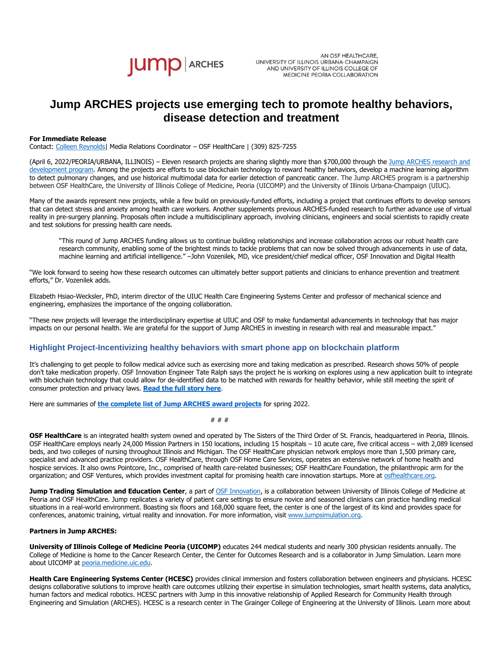

AN OSF HEALTHCARE, UNIVERSITY OF ILLINOIS URBANA-CHAMPAIGN AND UNIVERSITY OF ILLINOIS COLLEGE OF MEDICINE PEORIA COLLABORATION

# **Jump ARCHES projects use emerging tech to promote healthy behaviors, disease detection and treatment**

### **For Immediate Release**

Contact: [Colleen Reynolds|](mailto:%20colleen.reynolds@osfhealthcare.org) Media Relations Coordinator – OSF HealthCare | (309) 825-7255

(April 6, 2022/PEORIA/URBANA, ILLINOIS) – Eleven research projects are sharing slightly more than \$700,000 through the Jump ARCHES research and [development program.](https://www.osfhealthcare.org/innovation/how/academic-incubator/jump-arches/) Among the projects are efforts to use blockchain technology to reward healthy behaviors, develop a machine learning algorithm to detect pulmonary changes, and use historical multimodal data for earlier detection of pancreatic cancer. The Jump ARCHES program is a partnership between OSF HealthCare, the University of Illinois College of Medicine, Peoria (UICOMP) and the University of Illinois Urbana-Champaign (UIUC).

Many of the awards represent new projects, while a few build on previously-funded efforts, including a project that continues efforts to develop sensors that can detect stress and anxiety among health care workers. Another supplements previous ARCHES-funded research to further advance use of virtual reality in pre-surgery planning. Proposals often include a multidisciplinary approach, involving clinicians, engineers and social scientists to rapidly create and test solutions for pressing health care needs.

"This round of Jump ARCHES funding allows us to continue building relationships and increase collaboration across our robust health care research community, enabling some of the brightest minds to tackle problems that can now be solved through advancements in use of data, machine learning and artificial intelligence." –John Vozenilek, MD, vice president/chief medical officer, OSF Innovation and Digital Health

"We look forward to seeing how these research outcomes can ultimately better support patients and clinicians to enhance prevention and treatment efforts," Dr. Vozenilek adds.

Elizabeth Hsiao-Wecksler, PhD, interim director of the UIUC Health Care Engineering Systems Center and professor of mechanical science and engineering, emphasizes the importance of the ongoing collaboration.

"These new projects will leverage the interdisciplinary expertise at UIUC and OSF to make fundamental advancements in technology that has major impacts on our personal health. We are grateful for the support of Jump ARCHES in investing in research with real and measurable impact."

## **Highlight Project-Incentivizing healthy behaviors with smart phone app on blockchain platform**

It's challenging to get people to follow medical advice such as exercising more and taking medication as prescribed. Research shows 50% of people don't take medication properly. OSF Innovation Engineer Tate Ralph says the project he is working on explores using a new application built to integrate with blockchain technology that could allow for de-identified data to be matched with rewards for healthy behavior, while still meeting the spirit of consumer protection and privacy laws. **[Read the full story here](https://newsroom.osfhealthcare.org/incentivizing-healthy-behaviors-using-phone-app-on-a-blockchain-platform/)**.

Here are summaries of **the complete list of [Jump ARCHES award projects](https://www.osfhealthcare.org/innovation/how/academic-incubator/jump-arches/current-projects/)** for spring 2022.

# # #

**OSF HealthCare** is an integrated health system owned and operated by The Sisters of the Third Order of St. Francis, headquartered in Peoria, Illinois. OSF HealthCare employs nearly 24,000 Mission Partners in 150 locations, including 15 hospitals – 10 acute care, five critical access – with 2,089 licensed beds, and two colleges of nursing throughout Illinois and Michigan. The OSF HealthCare physician network employs more than 1,500 primary care, specialist and advanced practice providers. OSF HealthCare, through OSF Home Care Services, operates an extensive network of home health and hospice services. It also owns Pointcore, Inc., comprised of health care-related businesses; OSF HealthCare Foundation, the philanthropic arm for the organization; and OSF Ventures, which provides investment capital for promising health care innovation startups. More at [osfhealthcare.org.](https://www.osfhealthcare.org/)

**Jump Trading Simulation and Education Center**, a part of **OSF Innovation**, is a collaboration between University of Illinois College of Medicine at Peoria and OSF HealthCare. Jump replicates a variety of patient care settings to ensure novice and seasoned clinicians can practice handling medical situations in a real-world environment. Boasting six floors and 168,000 square feet, the center is one of the largest of its kind and provides space for conferences, anatomic training, virtual reality and innovation. For more information, visit [www.jumpsimulation.org.](http://www.jumpsimulation.org/)

### **Partners in Jump ARCHES:**

**University of Illinois College of Medicine Peoria (UICOMP)** educates 244 medical students and nearly 300 physician residents annually. The College of Medicine is home to the Cancer Research Center, the Center for Outcomes Research and is a collaborator in Jump Simulation. Learn more about UICOMP a[t peoria.medicine.uic.edu.](https://peoria.medicine.uic.edu/)

**Health Care Engineering Systems Center (HCESC)** provides clinical immersion and fosters collaboration between engineers and physicians. HCESC designs collaborative solutions to improve health care outcomes utilizing their expertise in simulation technologies, smart health systems, data analytics, human factors and medical robotics. HCESC partners with Jump in this innovative relationship of Applied Research for Community Health through Engineering and Simulation (ARCHES). HCESC is a research center in The Grainger College of Engineering at the University of Illinois. Learn more about